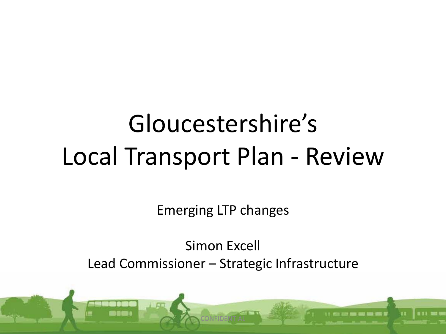# Gloucestershire's Local Transport Plan - Review

Emerging LTP changes

Simon Excell Lead Commissioner – Strategic Infrastructure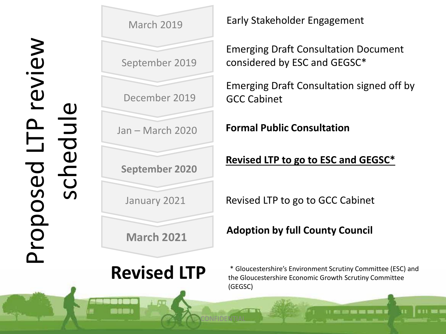

Early Stakeholder Engagement

Emerging Draft Consultation Document considered by ESC and GEGSC\*

Emerging Draft Consultation signed off by GCC Cabinet

**Formal Public Consultation**

### **Revised LTP to go to ESC and GEGSC\***

Revised LTP to go to GCC Cabinet

**Adoption by full County Council**

CONFIDENTIAL

\* Gloucestershire's Environment Scrutiny Committee (ESC) and the Gloucestershire Economic Growth Scrutiny Committee (GEGSC)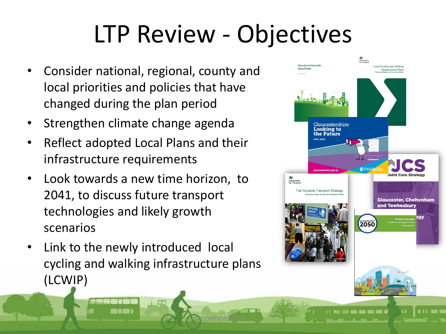# LTP Review - Objectives

- Consider national, regional, county and local priorities and policies that have changed during the plan period
- Strengthen climate change agenda
- Reflect adopted Local Plans and their infrastructure requirements
- Look towards a new time horizon, to 2041, to discuss future transport technologies and likely growth scenarios
- Link to the newly introduced local cycling and walking infrastructure plans (LCWIP)

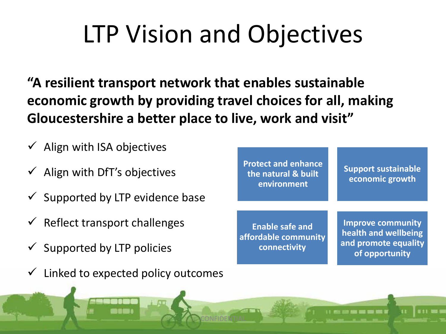# LTP Vision and Objectives

**"A resilient transport network that enables sustainable economic growth by providing travel choices for all, making Gloucestershire a better place to live, work and visit"**

 $\checkmark$  Align with ISA objectives  $\checkmark$  Align with DfT's objectives  $\checkmark$  Supported by LTP evidence base  $\checkmark$  Reflect transport challenges  $\checkmark$  Supported by LTP policies **Protect and enhance the natural & built environment Support sustainable economic growth Enable safe and affordable community connectivity Improve community health and wellbeing and promote equality of opportunity**

CONFIDENTIAL

 $\checkmark$  Linked to expected policy outcomes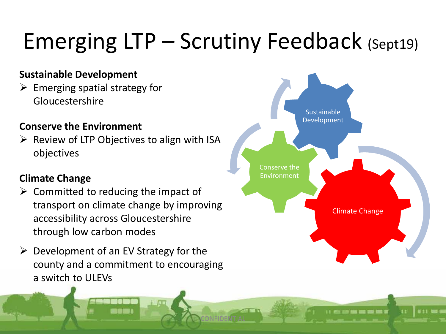## Emerging LTP – Scrutiny Feedback (Sept19)

CONFIDENTIAL

#### **Sustainable Development**

 $\triangleright$  Emerging spatial strategy for Gloucestershire

#### **Conserve the Environment**

 $\triangleright$  Review of LTP Objectives to align with ISA objectives

#### **Climate Change**

- $\triangleright$  Committed to reducing the impact of transport on climate change by improving accessibility across Gloucestershire through low carbon modes
- $\triangleright$  Development of an EV Strategy for the county and a commitment to encouraging a switch to ULEVs

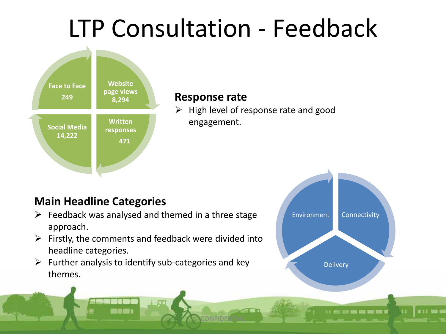## LTP Consultation - Feedback



#### **Response rate**

CONFIDENTIAL

 $\triangleright$  High level of response rate and good engagement.

### **Main Headline Categories**

- $\triangleright$  Feedback was analysed and themed in a three stage approach.
- $\triangleright$  Firstly, the comments and feedback were divided into headline categories.
- $\triangleright$  Further analysis to identify sub-categories and key themes.



--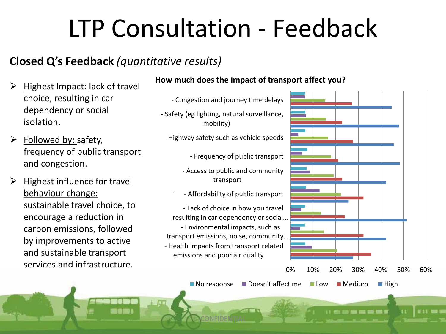# LTP Consultation - Feedback

### **Closed Q's Feedback** *(quantitative results)*

- Highest Impact: lack of travel choice, resulting in car dependency or social isolation.
- $\triangleright$  Followed by: safety, frequency of public transport and congestion.
- $\triangleright$  Highest influence for travel behaviour change: sustainable travel choice, to encourage a reduction in carbon emissions, followed by improvements to active and sustainable transport services and infrastructure.

#### **How much does the impact of transport affect you?**

- Congestion and journey time delays
- Safety (eg lighting, natural surveillance, mobility)
- Highway safety such as vehicle speeds
	- Frequency of public transport
	- Access to public and community transport
	- Affordability of public transport

- Health impacts from transport related emissions and poor air quality - Environmental impacts, such as transport emissions, noise, community… - Lack of choice in how you travel resulting in car dependency or social…

CONFIDENTIAL



 $\blacksquare$  No response  $\blacksquare$  Doesn't affect me  $\blacksquare$  Low  $\blacksquare$  Medium  $\blacksquare$  High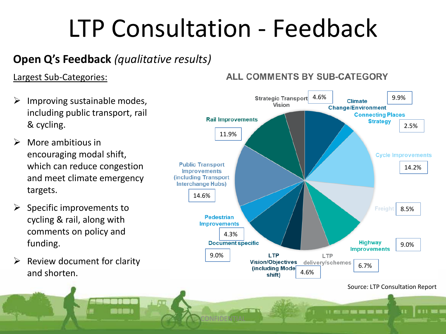# LTP Consultation - Feedback

### **Open Q's Feedback** *(qualitative results)*

#### Largest Sub-Categories:

- $\triangleright$  Improving sustainable modes, including public transport, rail & cycling.
- $\triangleright$  More ambitious in encouraging modal shift, which can reduce congestion and meet climate emergency targets.
- Specific improvements to cycling & rail, along with comments on policy and funding.
- Review document for clarity and shorten.

#### ALL COMMENTS BY SUB-CATEGORY

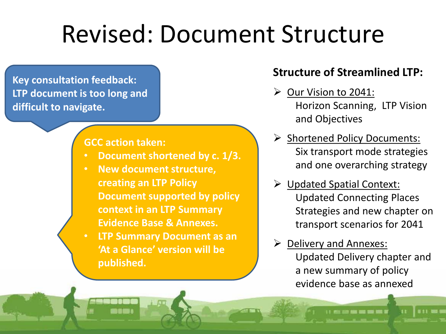## Revised: Document Structure

**Key consultation feedback: LTP document is too long and difficult to navigate.**

#### **GCC action taken:**

- **Document shortened by c. 1/3.**
- **New document structure, creating an LTP Policy Document supported by policy context in an LTP Summary Evidence Base & Annexes.**
- **LTP Summary Document as an 'At a Glance' version will be published.**

### **Structure of Streamlined LTP:**

- $\triangleright$  Our Vision to 2041: Horizon Scanning, LTP Vision and Objectives
- ▶ Shortened Policy Documents: Six transport mode strategies and one overarching strategy
- Updated Spatial Context: Updated Connecting Places Strategies and new chapter on transport scenarios for 2041
- $\triangleright$  Delivery and Annexes: Updated Delivery chapter and a new summary of policy evidence base as annexed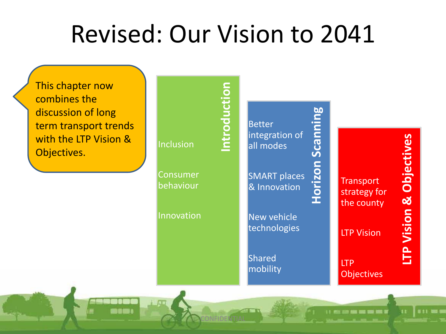### Revised: Our Vision to 2041

This chapter now combines the discussion of long term transport trends with the LTP Vision & Objectives.

nnmı

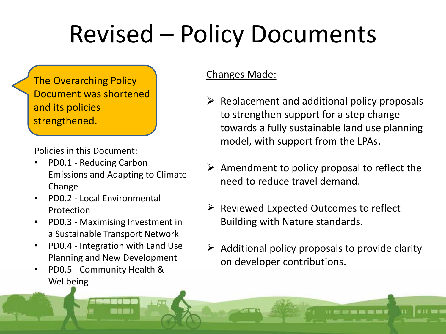# Revised – Policy Documents

The Overarching Policy Document was shortened and its policies strengthened.

Policies in this Document:

- PD0.1 Reducing Carbon Emissions and Adapting to Climate Change
- PD0.2 Local Environmental Protection
- PD0.3 Maximising Investment in a Sustainable Transport Network
- PD0.4 Integration with Land Use Planning and New Development
- PD0.5 Community Health & Wellbeing

#### Changes Made:

- $\triangleright$  Replacement and additional policy proposals to strengthen support for a step change towards a fully sustainable land use planning model, with support from the LPAs.
- $\triangleright$  Amendment to policy proposal to reflect the need to reduce travel demand.
- $\triangleright$  Reviewed Expected Outcomes to reflect Building with Nature standards.
- $\triangleright$  Additional policy proposals to provide clarity on developer contributions.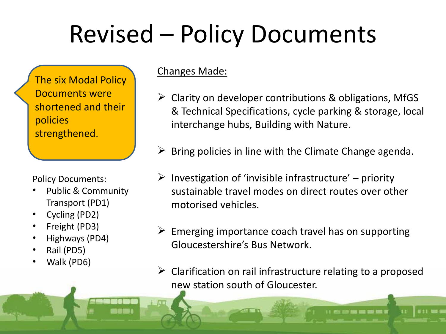# Revised – Policy Documents

The six Modal Policy Documents were shortened and their policies strengthened.

Policy Documents:

- Public & Community Transport (PD1)
- Cycling (PD2)
- Freight (PD3)
- Highways (PD4)
- Rail (PD5)
- Walk (PD6)

Changes Made:

- $\triangleright$  Clarity on developer contributions & obligations, MfGS & Technical Specifications, cycle parking & storage, local interchange hubs, Building with Nature.
- $\triangleright$  Bring policies in line with the Climate Change agenda.
- $\triangleright$  Investigation of 'invisible infrastructure' priority sustainable travel modes on direct routes over other motorised vehicles.
- $\triangleright$  Emerging importance coach travel has on supporting Gloucestershire's Bus Network.
- $\triangleright$  Clarification on rail infrastructure relating to a proposed new station south of Gloucester.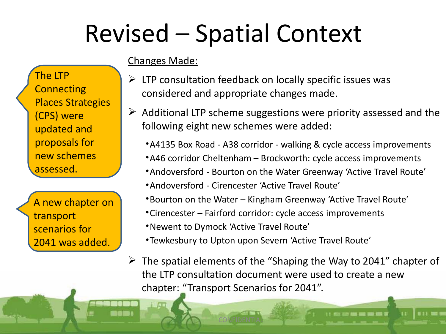# Revised – Spatial Context

### Changes Made:

- $\triangleright$  LTP consultation feedback on locally specific issues was considered and appropriate changes made.
- $\triangleright$  Additional LTP scheme suggestions were priority assessed and the following eight new schemes were added:
	- •A4135 Box Road A38 corridor walking & cycle access improvements
	- •A46 corridor Cheltenham Brockworth: cycle access improvements
	- •Andoversford Bourton on the Water Greenway 'Active Travel Route'
	- •Andoversford Cirencester 'Active Travel Route'

CONFIDENTIAL

- •Bourton on the Water Kingham Greenway 'Active Travel Route'
- •Cirencester Fairford corridor: cycle access improvements
- •Newent to Dymock 'Active Travel Route'
- •Tewkesbury to Upton upon Severn 'Active Travel Route'
- $\triangleright$  The spatial elements of the "Shaping the Way to 2041" chapter of the LTP consultation document were used to create a new chapter: "Transport Scenarios for 2041".

Places Strategies (CPS) were updated and proposals for new schemes assessed. A new chapter on

The LTP

**Connecting** 

transport scenarios for 2041 was added.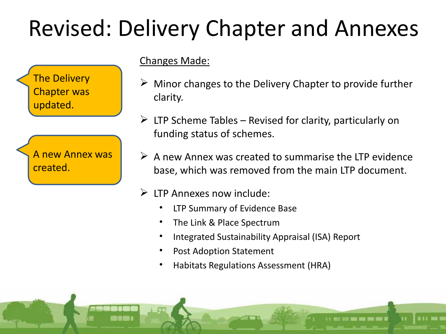### Revised: Delivery Chapter and Annexes



A new Annex was created.

Changes Made:

- $\triangleright$  Minor changes to the Delivery Chapter to provide further clarity.
- $\triangleright$  LTP Scheme Tables Revised for clarity, particularly on funding status of schemes.
- $\triangleright$  A new Annex was created to summarise the LTP evidence base, which was removed from the main LTP document.
- $\triangleright$  LTP Annexes now include:
	- LTP Summary of Evidence Base
	- The Link & Place Spectrum
	- Integrated Sustainability Appraisal (ISA) Report
	- Post Adoption Statement
	- Habitats Regulations Assessment (HRA)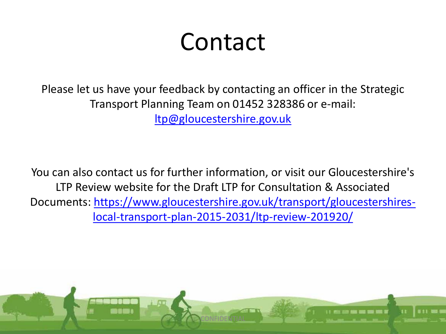## Contact

Please let us have your feedback by contacting an officer in the Strategic Transport Planning Team on 01452 328386 or e-mail: [ltp@gloucestershire.gov.uk](mailto:ltp@gloucestershire.gov.uk)

You can also contact us for further information, or visit our Gloucestershire's LTP Review website for the Draft LTP for Consultation & Associated Documents: [https://www.gloucestershire.gov.uk/transport/gloucestershires](https://www.gloucestershire.gov.uk/transport/gloucestershires-local-transport-plan-2015-2031/ltp-review-201920/)[local-transport-plan-2015-2031/ltp-review-201920/](https://www.gloucestershire.gov.uk/transport/gloucestershires-local-transport-plan-2015-2031/ltp-review-201920/)